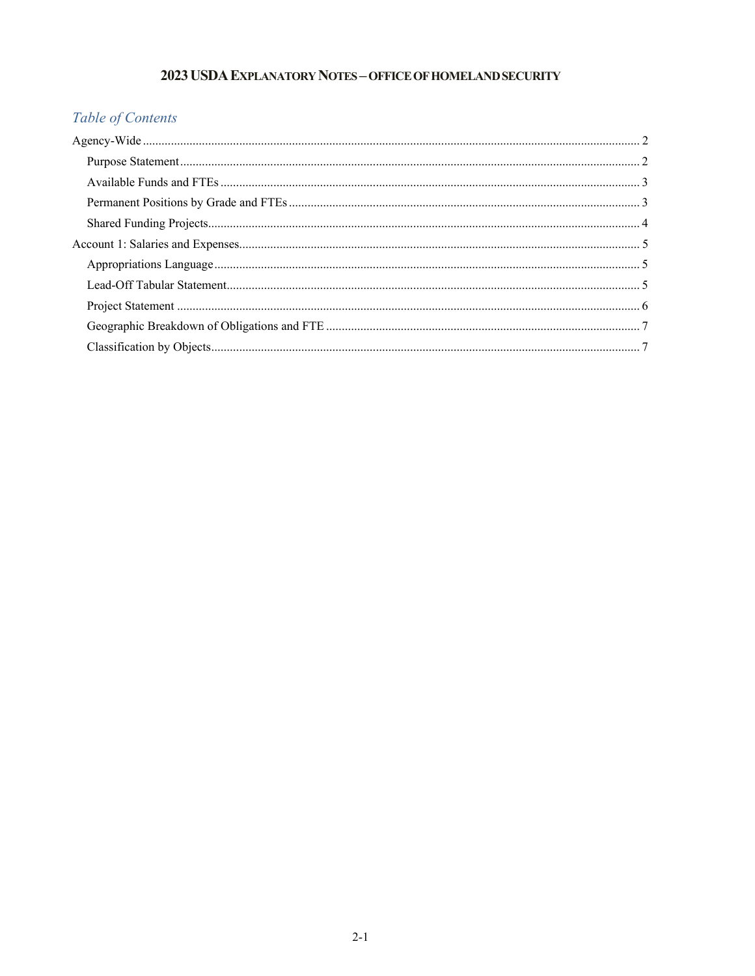## 2023 USDA EXPLANATORY NOTES - OFFICE OF HOMELAND SECURITY

# Table of Contents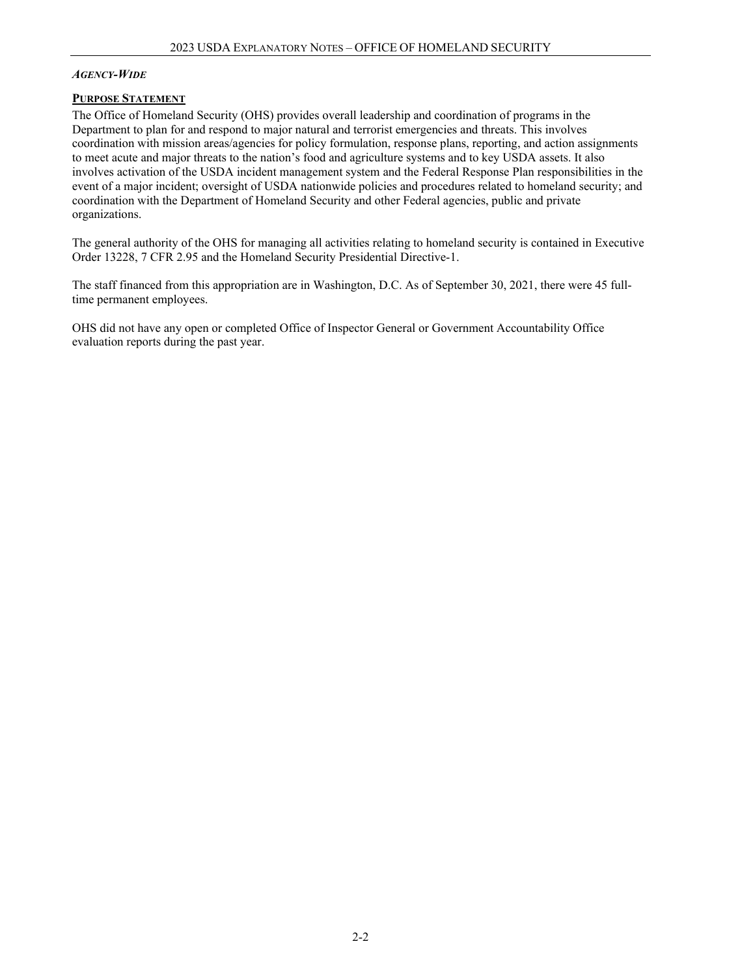#### *AGENCY-WIDE*

#### **PURPOSE STATEMENT**

The Office of Homeland Security (OHS) provides overall leadership and coordination of programs in the Department to plan for and respond to major natural and terrorist emergencies and threats. This involves coordination with mission areas/agencies for policy formulation, response plans, reporting, and action assignments to meet acute and major threats to the nation's food and agriculture systems and to key USDA assets. It also involves activation of the USDA incident management system and the Federal Response Plan responsibilities in the event of a major incident; oversight of USDA nationwide policies and procedures related to homeland security; and coordination with the Department of Homeland Security and other Federal agencies, public and private organizations.

The general authority of the OHS for managing all activities relating to homeland security is contained in Executive Order 13228, 7 CFR 2.95 and the Homeland Security Presidential Directive-1.

The staff financed from this appropriation are in Washington, D.C. As of September 30, 2021, there were 45 fulltime permanent employees.

OHS did not have any open or completed Office of Inspector General or Government Accountability Office evaluation reports during the past year.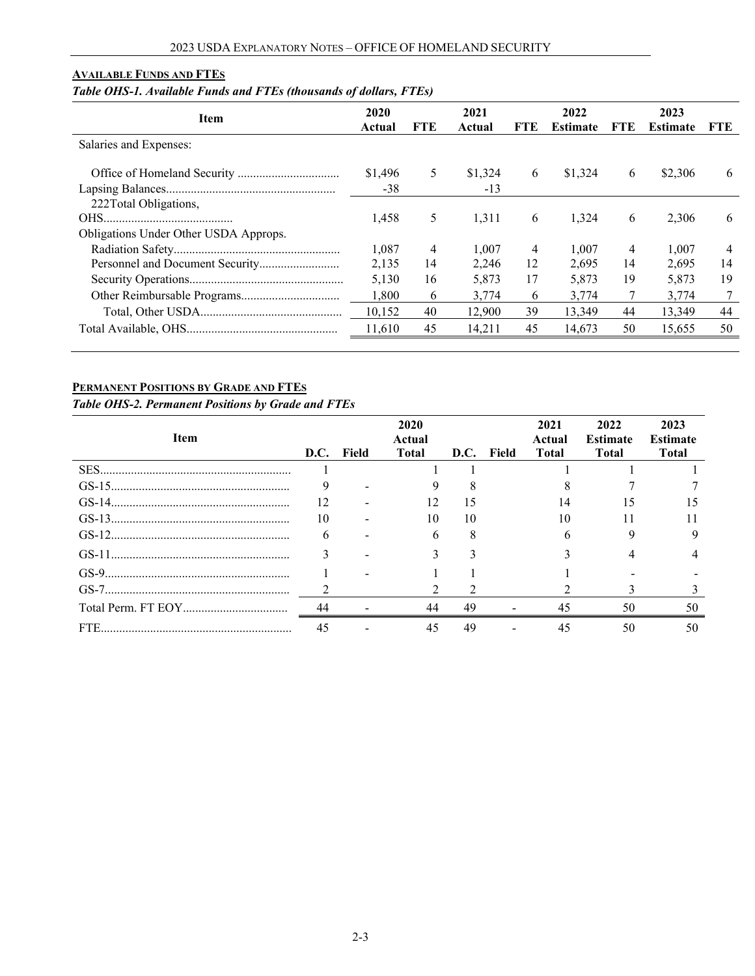#### **AVAILABLE FUNDS AND FTES**

## *Table OHS-1. Available Funds and FTEs (thousands of dollars, FTEs)*

| Item                                  | 2020<br>Actual | FTE | 2021<br>Actual | FTE. | 2022<br><b>Estimate</b> | FTE. | 2023<br><b>Estimate</b> | <b>FTE</b> |
|---------------------------------------|----------------|-----|----------------|------|-------------------------|------|-------------------------|------------|
| Salaries and Expenses:                |                |     |                |      |                         |      |                         |            |
|                                       | \$1,496        | 5   | \$1,324        | 6    | \$1,324                 | 6    | \$2,306                 | 6          |
|                                       | -38            |     | $-13$          |      |                         |      |                         |            |
| 222Total Obligations,                 |                |     |                |      |                         |      |                         |            |
|                                       | 1,458          | 5   | 1,311          | 6    | 1,324                   | 6    | 2,306                   | 6          |
| Obligations Under Other USDA Approps. |                |     |                |      |                         |      |                         |            |
|                                       | 1,087          | 4   | 1.007          | 4    | 1.007                   | 4    | 1.007                   | 4          |
|                                       | 2.135          | 14  | 2.246          | 12   | 2.695                   | 14   | 2.695                   | 14         |
|                                       | 5,130          | 16  | 5,873          | 17   | 5,873                   | 19   | 5,873                   | 19         |
|                                       | 1.800          | 6   | 3.774          | 6    | 3,774                   |      | 3.774                   |            |
|                                       | 10,152         | 40  | 12,900         | 39   | 13.349                  | 44   | 13.349                  | 44         |
|                                       | 11,610         | 45  | 14,211         | 45   | 14.673                  | 50   | 15,655                  | 50         |

### **PERMANENT POSITIONS BY GRADE AND FTES**

*Table OHS-2. Permanent Positions by Grade and FTEs*

| <b>Item</b> | D.C. | Field | 2020<br>Actual<br><b>Total</b> | D.C. | Field | 2021<br>Actual<br><b>Total</b> | 2022<br><b>Estimate</b><br><b>Total</b> | 2023<br><b>Estimate</b><br><b>Total</b> |
|-------------|------|-------|--------------------------------|------|-------|--------------------------------|-----------------------------------------|-----------------------------------------|
|             |      |       |                                |      |       |                                |                                         |                                         |
|             |      |       |                                |      |       |                                |                                         |                                         |
|             | 12   |       | 12                             |      |       | 14                             | 15                                      |                                         |
|             | 10   |       | 10                             | 10   |       | 10                             |                                         |                                         |
|             | 6    |       | 6                              |      |       | 6                              |                                         |                                         |
|             |      |       |                                |      |       |                                |                                         |                                         |
|             |      |       |                                |      |       |                                |                                         |                                         |
|             |      |       |                                |      |       |                                |                                         |                                         |
|             | 44   |       | 44                             | 49   |       | 45                             | 50                                      | 50                                      |
|             | 45   |       | 45                             | 49   |       |                                | 50                                      | 50                                      |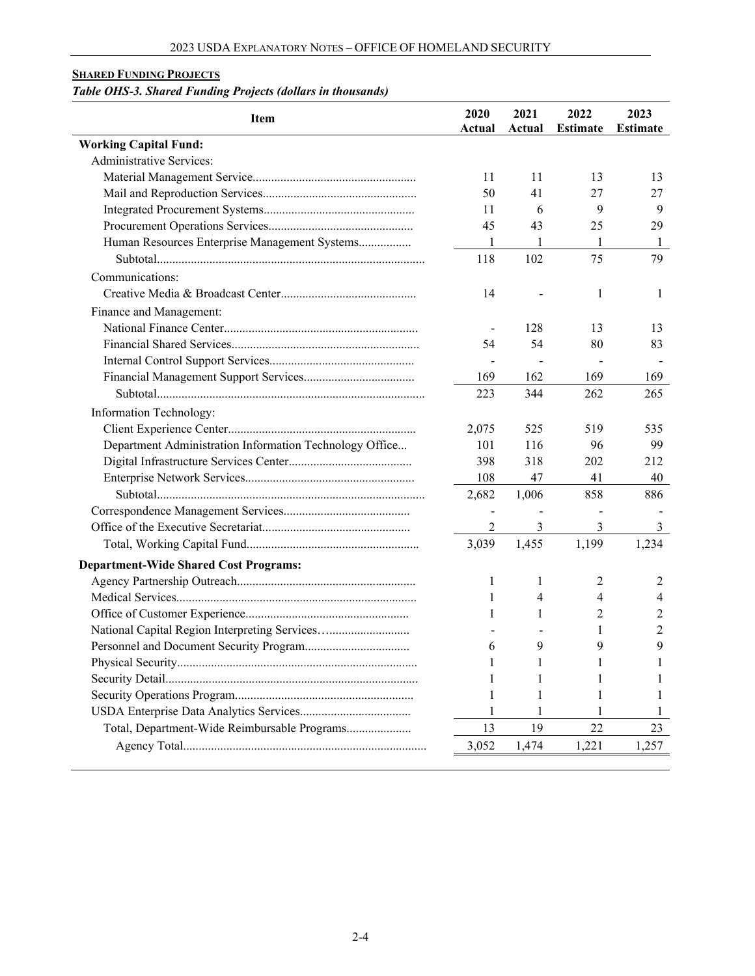## **SHARED FUNDING PROJECTS**

# *Table OHS-3. Shared Funding Projects (dollars in thousands)*

| Item                                                    | 2020<br>Actual           | 2021<br>Actual | 2022<br><b>Estimate</b> | 2023<br><b>Estimate</b> |
|---------------------------------------------------------|--------------------------|----------------|-------------------------|-------------------------|
| <b>Working Capital Fund:</b>                            |                          |                |                         |                         |
| <b>Administrative Services:</b>                         |                          |                |                         |                         |
|                                                         | 11                       | 11             | 13                      | 13                      |
|                                                         | 50                       | 41             | 27                      | 27                      |
|                                                         | 11                       | 6              | 9                       | 9                       |
|                                                         | 45                       | 43             | 25                      | 29                      |
| Human Resources Enterprise Management Systems           | 1                        | 1              | 1                       | 1                       |
|                                                         | 118                      | 102            | 75                      | 79                      |
| Communications:                                         |                          |                |                         |                         |
|                                                         | 14                       |                | 1                       | 1                       |
| Finance and Management:                                 |                          |                |                         |                         |
|                                                         |                          | 128            | 13                      | 13                      |
|                                                         | 54                       | 54             | 80                      | 83                      |
|                                                         | $\overline{\phantom{a}}$ |                |                         |                         |
|                                                         | 169                      | 162            | 169                     | 169                     |
|                                                         | 223                      | 344            | 262                     | 265                     |
| Information Technology:                                 |                          |                |                         |                         |
|                                                         | 2,075                    | 525            | 519                     | 535                     |
| Department Administration Information Technology Office | 101                      | 116            | 96                      | 99                      |
|                                                         | 398                      | 318            | 202                     | 212                     |
|                                                         | 108                      | 47             | 41                      | 40                      |
|                                                         | 2,682                    | 1,006          | 858                     | 886                     |
|                                                         |                          |                |                         |                         |
|                                                         | 2                        | 3              | 3                       | 3                       |
|                                                         | 3,039                    | 1,455          | 1,199                   | 1,234                   |
| <b>Department-Wide Shared Cost Programs:</b>            |                          |                |                         |                         |
|                                                         | 1                        | 1              | 2                       | 2                       |
|                                                         | 1                        | 4              | 4                       | 4                       |
|                                                         | 1                        | 1              | 2                       | 2                       |
| National Capital Region Interpreting Services           |                          |                | 1                       | 2                       |
|                                                         | 6                        | 9              | 9                       | 9                       |
|                                                         |                          |                |                         |                         |
|                                                         |                          |                |                         |                         |
|                                                         |                          |                |                         |                         |
|                                                         |                          |                |                         |                         |
| Total, Department-Wide Reimbursable Programs            | 13                       | 19             | 22                      | 23                      |
|                                                         | 3,052                    | 1,474          | 1,221                   | 1,257                   |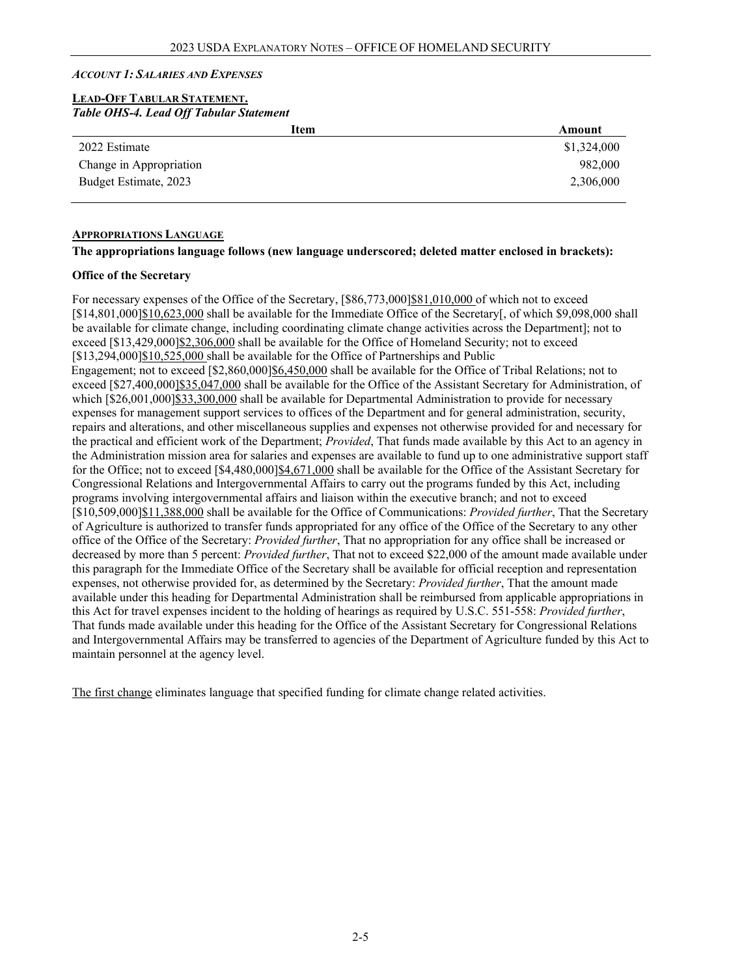#### *ACCOUNT 1: SALARIES AND EXPENSES*

#### **LEAD-OFF TABULAR STATEMENT.** *Table OHS-4. Lead Off Tabular Statement*

| Item                    | Amount      |
|-------------------------|-------------|
| 2022 Estimate           | \$1,324,000 |
| Change in Appropriation | 982,000     |
| Budget Estimate, 2023   | 2,306,000   |
|                         |             |

#### **APPROPRIATIONS LANGUAGE**

#### **The appropriations language follows (new language underscored; deleted matter enclosed in brackets):**

#### **Office of the Secretary**

For necessary expenses of the Office of the Secretary, [\$86,773,000]\$81,010,000 of which not to exceed [\$14,801,000]\$10,623,000 shall be available for the Immediate Office of the Secretary[, of which \$9,098,000 shall be available for climate change, including coordinating climate change activities across the Department]; not to exceed [\$13,429,000]\$2,306,000 shall be available for the Office of Homeland Security; not to exceed [\$13,294,000]\$10,525,000 shall be available for the Office of Partnerships and Public Engagement; not to exceed [\$2,860,000]\$6,450,000 shall be available for the Office of Tribal Relations; not to exceed [\$27,400,000]\$35,047,000 shall be available for the Office of the Assistant Secretary for Administration, of which [\$26,001,000]\$33,300,000 shall be available for Departmental Administration to provide for necessary expenses for management support services to offices of the Department and for general administration, security, repairs and alterations, and other miscellaneous supplies and expenses not otherwise provided for and necessary for the practical and efficient work of the Department; *Provided*, That funds made available by this Act to an agency in the Administration mission area for salaries and expenses are available to fund up to one administrative support staff for the Office; not to exceed [\$4,480,000]\$4,671,000 shall be available for the Office of the Assistant Secretary for Congressional Relations and Intergovernmental Affairs to carry out the programs funded by this Act, including programs involving intergovernmental affairs and liaison within the executive branch; and not to exceed [\$10,509,000]\$11,388,000 shall be available for the Office of Communications: *Provided further*, That the Secretary of Agriculture is authorized to transfer funds appropriated for any office of the Office of the Secretary to any other office of the Office of the Secretary: *Provided further*, That no appropriation for any office shall be increased or decreased by more than 5 percent: *Provided further*, That not to exceed \$22,000 of the amount made available under this paragraph for the Immediate Office of the Secretary shall be available for official reception and representation expenses, not otherwise provided for, as determined by the Secretary: *Provided further*, That the amount made available under this heading for Departmental Administration shall be reimbursed from applicable appropriations in this Act for travel expenses incident to the holding of hearings as required by U.S.C. 551-558: *Provided further*, That funds made available under this heading for the Office of the Assistant Secretary for Congressional Relations and Intergovernmental Affairs may be transferred to agencies of the Department of Agriculture funded by this Act to maintain personnel at the agency level.

The first change eliminates language that specified funding for climate change related activities.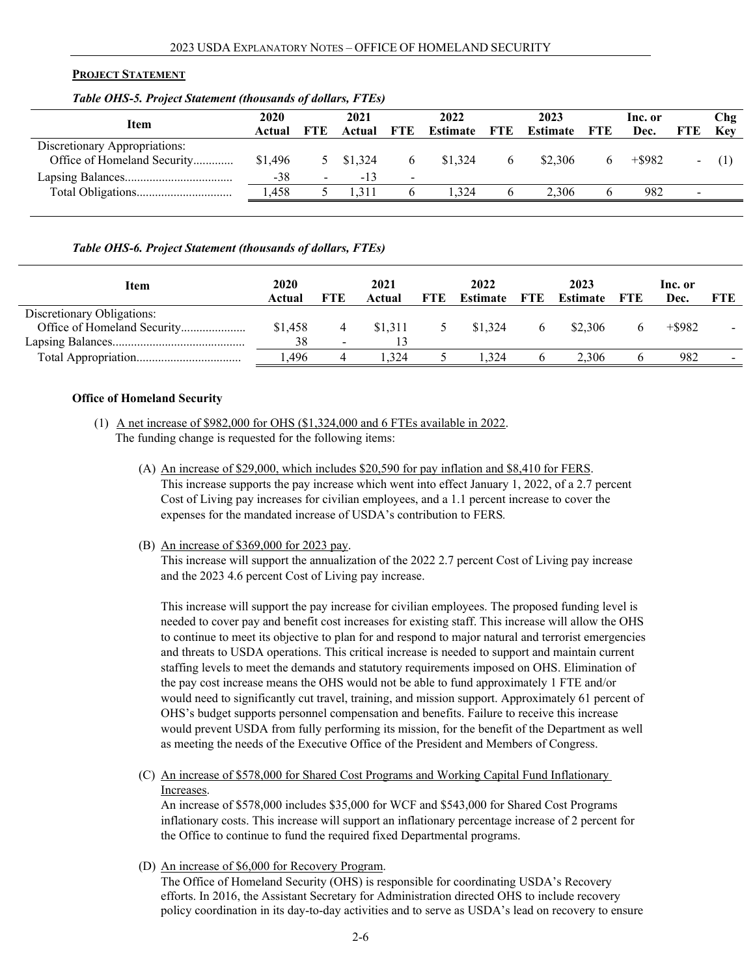#### **PROJECT STATEMENT**

#### *Table OHS-5. Project Statement (thousands of dollars, FTEs)*

| Item                          | 2020    |                          | 2021    |                | 2022     |             | 2023                |              | Inc. or   |            | Ch2        |
|-------------------------------|---------|--------------------------|---------|----------------|----------|-------------|---------------------|--------------|-----------|------------|------------|
|                               | Actual  | <b>FTE</b>               | Actual  | <b>FTE</b>     | Estimate | FTE         | <b>Estimate</b> FTE |              | Dec.      | <b>FTE</b> | <b>Kev</b> |
| Discretionary Appropriations: |         |                          |         |                |          |             |                     |              |           |            |            |
| Office of Homeland Security   | \$1.496 |                          | \$1,324 |                | \$1,324  | $\mathbf b$ | \$2,306             | <sub>b</sub> | $+$ \$982 | ۰.         |            |
|                               | $-38$   | $\overline{\phantom{0}}$ | $-13$   | $\blacksquare$ |          |             |                     |              |           |            |            |
|                               | .458    |                          | 1.311   |                | . 324    |             | 2.306               |              | 982       |            |            |
|                               |         |                          |         |                |          |             |                     |              |           |            |            |

#### *Table OHS-6. Project Statement (thousands of dollars, FTEs)*

| Item                       | 2020<br>Actual | FTE                      | 2021<br>Actual | FTE | 2022<br><b>Estimate</b> FTE | 2023<br>Estimate | FTE | lnc. or<br>Dec. | FTE |
|----------------------------|----------------|--------------------------|----------------|-----|-----------------------------|------------------|-----|-----------------|-----|
| Discretionary Obligations: |                |                          |                |     |                             |                  |     |                 |     |
|                            | \$1,458        |                          | \$1,311        |     | \$1,324                     | \$2,306          |     | $+$ \$982       |     |
|                            | 38             | $\overline{\phantom{0}}$ |                |     |                             |                  |     |                 |     |
|                            | .496           |                          | .324           |     | 1.324                       | 2.306            |     | 982             |     |

#### **Office of Homeland Security**

- (1) A net increase of \$982,000 for OHS (\$1,324,000 and 6 FTEs available in 2022. The funding change is requested for the following items:
	- (A) An increase of \$29,000, which includes \$20,590 for pay inflation and \$8,410 for FERS. This increase supports the pay increase which went into effect January 1, 2022, of a 2.7 percent Cost of Living pay increases for civilian employees, and a 1.1 percent increase to cover the expenses for the mandated increase of USDA's contribution to FERS*.*
	- (B) An increase of \$369,000 for 2023 pay.

This increase will support the annualization of the 2022 2.7 percent Cost of Living pay increase and the 2023 4.6 percent Cost of Living pay increase.

This increase will support the pay increase for civilian employees. The proposed funding level is needed to cover pay and benefit cost increases for existing staff. This increase will allow the OHS to continue to meet its objective to plan for and respond to major natural and terrorist emergencies and threats to USDA operations. This critical increase is needed to support and maintain current staffing levels to meet the demands and statutory requirements imposed on OHS. Elimination of the pay cost increase means the OHS would not be able to fund approximately 1 FTE and/or would need to significantly cut travel, training, and mission support. Approximately 61 percent of OHS's budget supports personnel compensation and benefits. Failure to receive this increase would prevent USDA from fully performing its mission, for the benefit of the Department as well as meeting the needs of the Executive Office of the President and Members of Congress.

(C) An increase of \$578,000 for Shared Cost Programs and Working Capital Fund Inflationary Increases.

An increase of \$578,000 includes \$35,000 for WCF and \$543,000 for Shared Cost Programs inflationary costs. This increase will support an inflationary percentage increase of 2 percent for the Office to continue to fund the required fixed Departmental programs.

(D) An increase of \$6,000 for Recovery Program.

The Office of Homeland Security (OHS) is responsible for coordinating USDA's Recovery efforts. In 2016, the Assistant Secretary for Administration directed OHS to include recovery policy coordination in its day-to-day activities and to serve as USDA's lead on recovery to ensure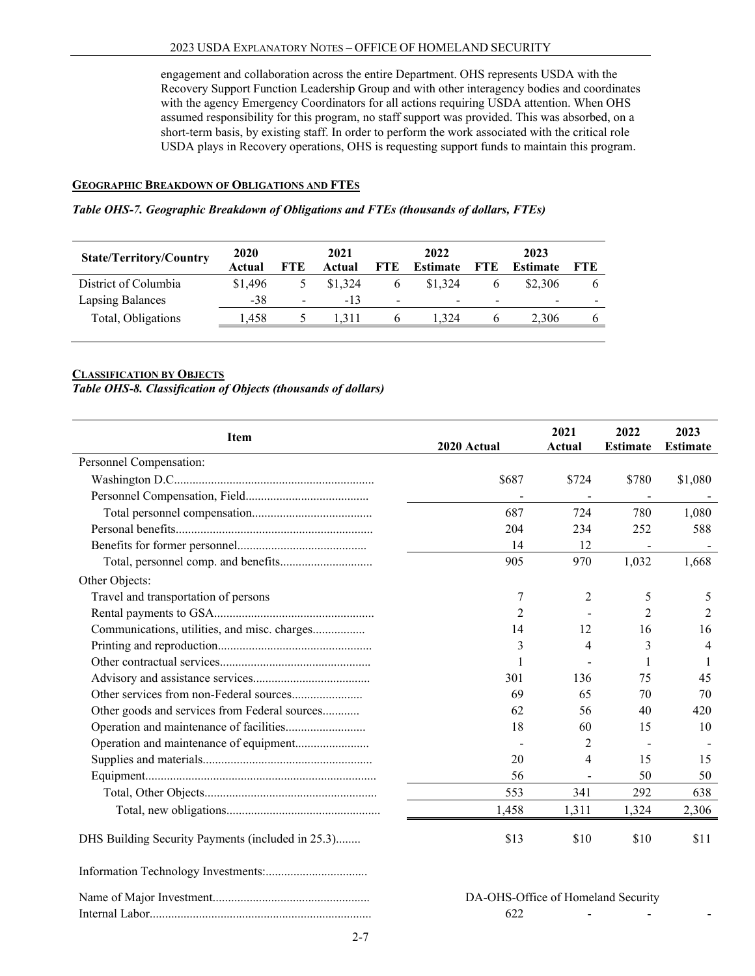engagement and collaboration across the entire Department. OHS represents USDA with the Recovery Support Function Leadership Group and with other interagency bodies and coordinates with the agency Emergency Coordinators for all actions requiring USDA attention. When OHS assumed responsibility for this program, no staff support was provided. This was absorbed, on a short-term basis, by existing staff. In order to perform the work associated with the critical role USDA plays in Recovery operations, OHS is requesting support funds to maintain this program.

#### **GEOGRAPHIC BREAKDOWN OF OBLIGATIONS AND FTES**

#### *Table OHS-7. Geographic Breakdown of Obligations and FTEs (thousands of dollars, FTEs)*

| <b>State/Territory/Country</b> | 2020<br>Actual | FTE                      | 2021<br>Actual | <b>FTE</b>   | 2022<br>Estimate | FTE                      | 2023<br>Estimate | <b>FTE</b> |
|--------------------------------|----------------|--------------------------|----------------|--------------|------------------|--------------------------|------------------|------------|
| District of Columbia           | \$1.496        |                          | \$1,324        | <sub>0</sub> | \$1,324          |                          | \$2,306          | O          |
| <b>Lapsing Balances</b>        | $-38$          | $\overline{\phantom{0}}$ | $-13$          |              | -                | $\overline{\phantom{0}}$ | -                |            |
| Total, Obligations             | .458           |                          | .311           |              | 1.324            |                          | 2.306            | 6          |
|                                |                |                          |                |              |                  |                          |                  |            |

#### **CLASSIFICATION BY OBJECTS**

### *Table OHS-8. Classification of Objects (thousands of dollars)*

| Item                                              | 2020 Actual                        | 2021<br>Actual | 2022<br><b>Estimate</b> | 2023<br><b>Estimate</b> |
|---------------------------------------------------|------------------------------------|----------------|-------------------------|-------------------------|
| Personnel Compensation:                           |                                    |                |                         |                         |
|                                                   | \$687                              | \$724          | \$780                   | \$1,080                 |
|                                                   |                                    |                |                         |                         |
|                                                   | 687                                | 724            | 780                     | 1,080                   |
|                                                   | 204                                | 234            | 252                     | 588                     |
|                                                   | 14                                 | 12             |                         |                         |
|                                                   | 905                                | 970            | 1,032                   | 1,668                   |
| Other Objects:                                    |                                    |                |                         |                         |
| Travel and transportation of persons              | 7                                  | 2              | 5                       | 5                       |
|                                                   | 2                                  |                | $\overline{2}$          | 2                       |
| Communications, utilities, and misc. charges      | 14                                 | 12             | 16                      | 16                      |
|                                                   | 3                                  | 4              | 3                       | 4                       |
|                                                   |                                    |                | 1                       | 1                       |
|                                                   | 301                                | 136            | 75                      | 45                      |
|                                                   | 69                                 | 65             | 70                      | 70                      |
| Other goods and services from Federal sources     | 62                                 | 56             | 40                      | 420                     |
|                                                   | 18                                 | 60             | 15                      | 10                      |
|                                                   |                                    | 2              |                         |                         |
|                                                   | 20                                 | 4              | 15                      | 15                      |
|                                                   | 56                                 |                | 50                      | 50                      |
|                                                   | 553                                | 341            | 292                     | 638                     |
|                                                   | 1,458                              | 1,311          | 1,324                   | 2,306                   |
| DHS Building Security Payments (included in 25.3) | \$13                               | \$10           | \$10                    | \$11                    |
|                                                   |                                    |                |                         |                         |
|                                                   | DA-OHS-Office of Homeland Security |                |                         |                         |
|                                                   | 622                                |                |                         |                         |